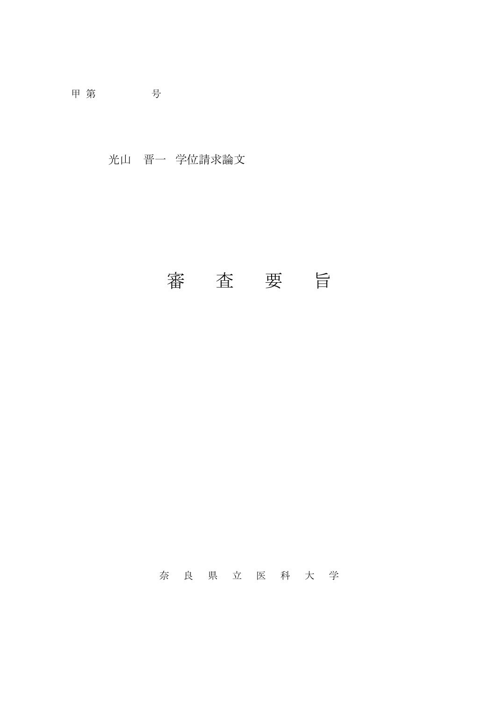甲 第 号

光山 晋一 学位請求論文

## 審 査 要 旨

奈良県立医科大 学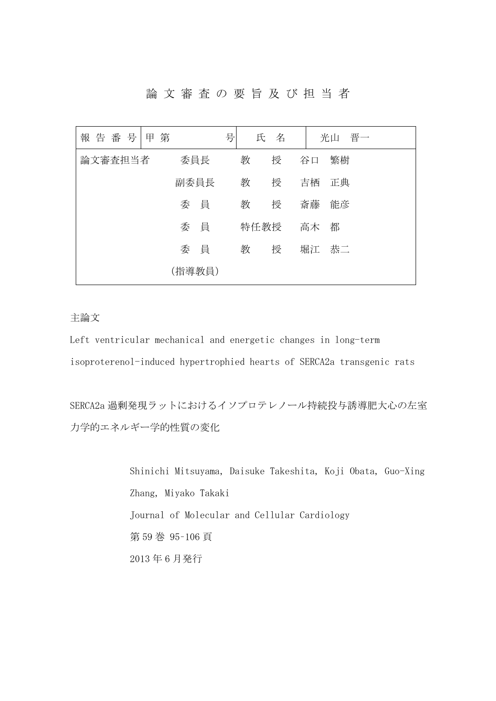論文審査の要旨及び担当者

| 報告番号<br>第<br>甲 |        | 号<br>氏 名 | 晋一<br>光山 |
|----------------|--------|----------|----------|
| 論文審査担当者        | 委員長    | 教<br>授   | 谷口<br>繁樹 |
|                | 副委員長   | 教<br>授   | 吉栖<br>正典 |
|                | 委員     | 教<br>授   | 斎藤<br>能彦 |
|                | 委員     | 特任教授     | 高木<br>都  |
|                | 委員     | 教<br>授   | 堀江<br>恭二 |
|                | (指導教員) |          |          |

主論文

Left ventricular mechanical and energetic changes in long-term isoproterenol-induced hypertrophied hearts of SERCA2a transgenic rats

SERCA2a 過剰発現ラットにおけるイソプロテレノール持続投与誘導肥大心の左室 力学的エネルギー学的性質の変化

> Shinichi Mitsuyama, Daisuke Takeshita, Koji Obata, Guo-Xing Zhang, Miyako Takaki Journal of Molecular and Cellular Cardiology 第 59 巻 95–106 頁 2013 年 6 月発行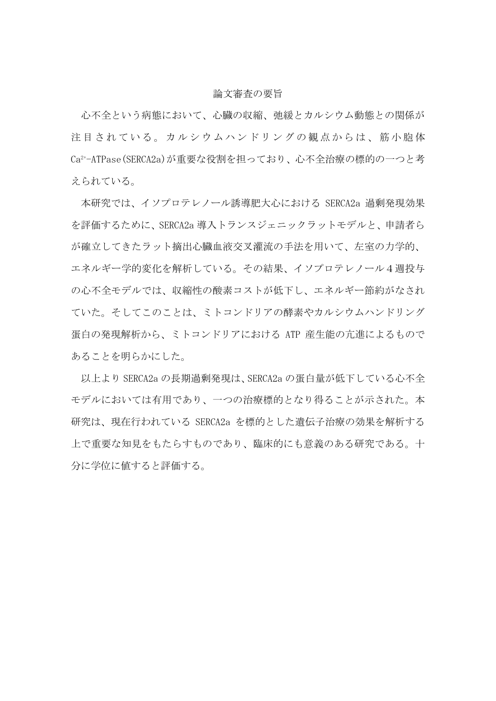## 論文審査の要旨

心不全という病態において、心臓の収縮、弛緩とカルシウム動態との関係が 注目されている。カルシウムハンドリングの観点からは、筋小胞体 Ca2+-ATPase(SERCA2a)が重要な役割を担っており、心不全治療の標的の一つと考 えられている。

本研究では、イソプロテレノール誘導肥大心における SERCA2a 過剰発現効果 を評価するために、SERCA2a 導入トランスジェニックラットモデルと、申請者ら が確立してきたラット摘出心臓血液交叉灌流の手法を用いて、左室の力学的、 エネルギー学的変化を解析している。その結果、イソプロテレノール4週投与 の心不全モデルでは、収縮性の酸素コストが低下し、エネルギー節約がなされ ていた。そしてこのことは、ミトコンドリアの酵素やカルシウムハンドリング 蛋白の発現解析から、ミトコンドリアにおける ATP 産生能の亢進によるもので あることを明らかにした。

以上より SERCA2a の長期過剰発現は、SERCA2a の蛋白量が低下している心不全 モデルにおいては有用であり、一つの治療標的となり得ることが示された。本 研究は、現在行われている SERCA2a を標的とした遺伝子治療の効果を解析する 上で重要な知見をもたらすものであり、臨床的にも意義のある研究である。十 分に学位に値すると評価する。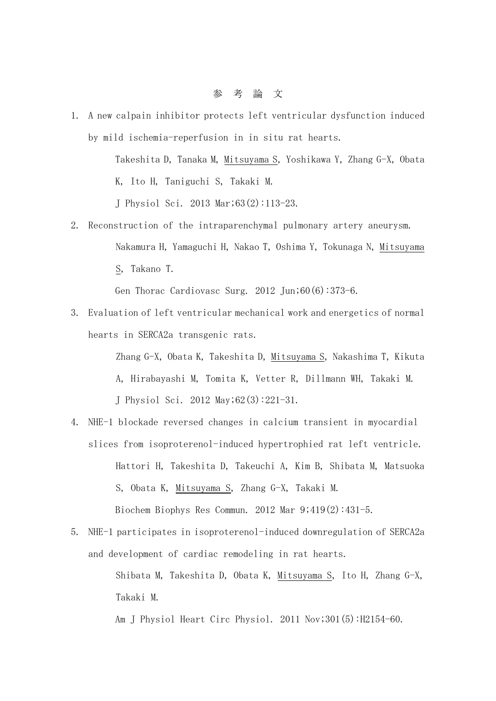1. A new calpain inhibitor protects left ventricular dysfunction induced by mild ischemia-reperfusion in in situ rat hearts.

> Takeshita D, Tanaka M, Mitsuyama S, Yoshikawa Y, Zhang G-X, Obata K, Ito H, Taniguchi S, Takaki M.

J Physiol Sci. 2013 Mar;63(2):113-23.

2. Reconstruction of the intraparenchymal pulmonary artery aneurysm. Nakamura H, Yamaguchi H, Nakao T, Oshima Y, Tokunaga N, Mitsuyama S, Takano T.

Gen Thorac Cardiovasc Surg. 2012 Jun;60(6):373-6.

3. Evaluation of left ventricular mechanical work and energetics of normal hearts in SERCA2a transgenic rats.

> Zhang G-X, Obata K, Takeshita D, Mitsuyama S, Nakashima T, Kikuta A, Hirabayashi M, Tomita K, Vetter R, Dillmann WH, Takaki M. J Physiol Sci. 2012 May;62(3):221-31.

- 4. NHE-1 blockade reversed changes in calcium transient in myocardial slices from isoproterenol-induced hypertrophied rat left ventricle. Hattori H, Takeshita D, Takeuchi A, Kim B, Shibata M, Matsuoka S, Obata K, Mitsuyama S, Zhang G-X, Takaki M. Biochem Biophys Res Commun. 2012 Mar 9;419(2):431-5.
- 5. NHE-1 participates in isoproterenol-induced downregulation of SERCA2a and development of cardiac remodeling in rat hearts.

Shibata M, Takeshita D, Obata K, Mitsuyama S, Ito H, Zhang G-X, Takaki M.

Am J Physiol Heart Circ Physiol. 2011 Nov;301(5):H2154-60.